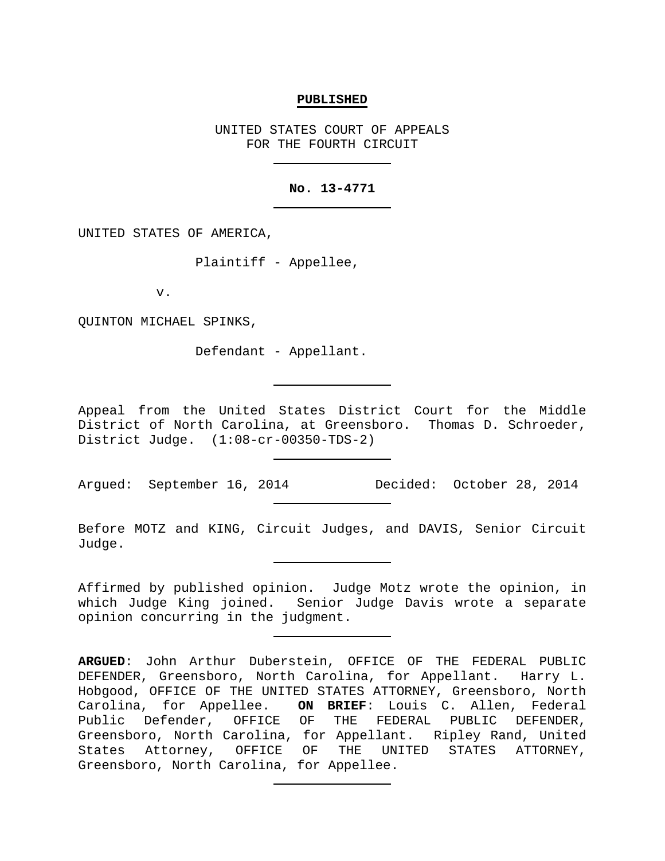### **PUBLISHED**

UNITED STATES COURT OF APPEALS FOR THE FOURTH CIRCUIT

## **No. 13-4771**

UNITED STATES OF AMERICA,

Plaintiff - Appellee,

v.

QUINTON MICHAEL SPINKS,

Defendant - Appellant.

Appeal from the United States District Court for the Middle District of North Carolina, at Greensboro. Thomas D. Schroeder, District Judge. (1:08-cr-00350-TDS-2)

Argued: September 16, 2014 Decided: October 28, 2014

Before MOTZ and KING, Circuit Judges, and DAVIS, Senior Circuit Judge.

Affirmed by published opinion. Judge Motz wrote the opinion, in which Judge King joined. Senior Judge Davis wrote a separate opinion concurring in the judgment.

**ARGUED**: John Arthur Duberstein, OFFICE OF THE FEDERAL PUBLIC DEFENDER, Greensboro, North Carolina, for Appellant. Harry L. Hobgood, OFFICE OF THE UNITED STATES ATTORNEY, Greensboro, North Carolina, for Appellee. **ON BRIEF**: Louis C. Allen, Federal Public Defender, OFFICE OF THE FEDERAL PUBLIC DEFENDER, Greensboro, North Carolina, for Appellant. Ripley Rand, United<br>States Attorney, OFFICE OF THE UNITED STATES ATTORNEY, States Attorney, OFFICE OF THE Greensboro, North Carolina, for Appellee.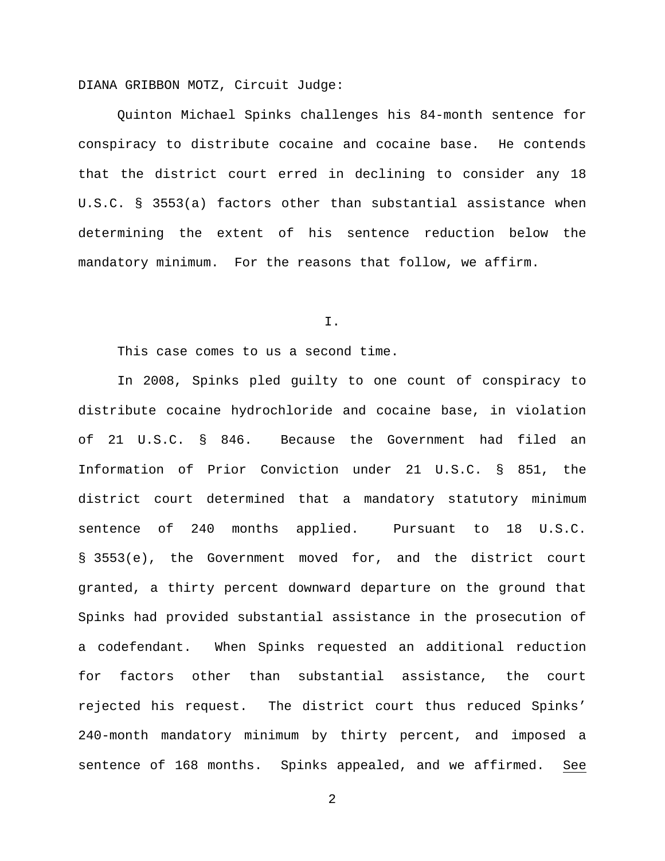DIANA GRIBBON MOTZ, Circuit Judge:

Quinton Michael Spinks challenges his 84-month sentence for conspiracy to distribute cocaine and cocaine base. He contends that the district court erred in declining to consider any 18 U.S.C. § 3553(a) factors other than substantial assistance when determining the extent of his sentence reduction below the mandatory minimum. For the reasons that follow, we affirm.

I.

This case comes to us a second time.

In 2008, Spinks pled guilty to one count of conspiracy to distribute cocaine hydrochloride and cocaine base, in violation of 21 U.S.C. § 846. Because the Government had filed an Information of Prior Conviction under 21 U.S.C. § 851, the district court determined that a mandatory statutory minimum sentence of 240 months applied. Pursuant to 18 U.S.C. § 3553(e), the Government moved for, and the district court granted, a thirty percent downward departure on the ground that Spinks had provided substantial assistance in the prosecution of a codefendant. When Spinks requested an additional reduction for factors other than substantial assistance, the court rejected his request. The district court thus reduced Spinks' 240-month mandatory minimum by thirty percent, and imposed a sentence of 168 months. Spinks appealed, and we affirmed. See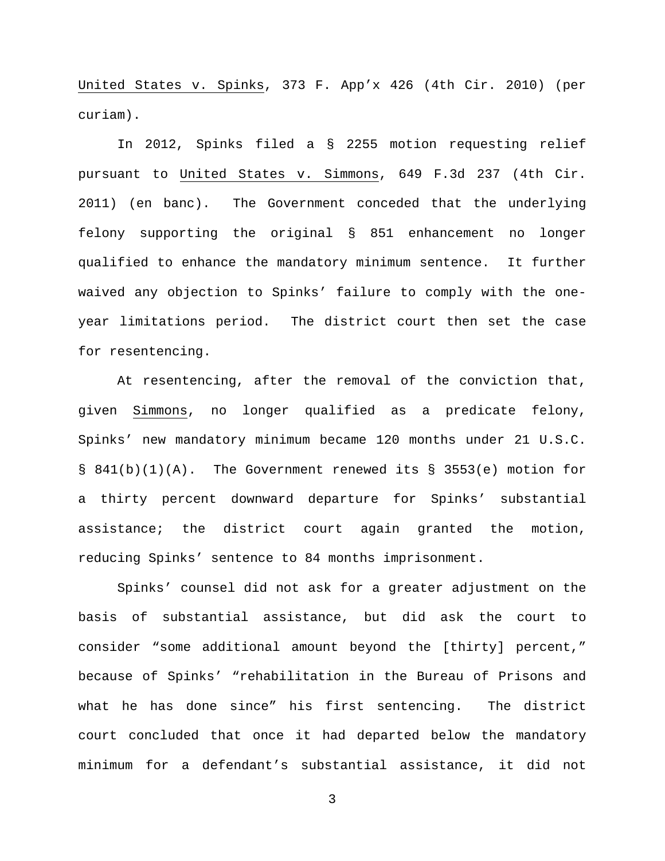United States v. Spinks, 373 F. App'x 426 (4th Cir. 2010) (per curiam).

In 2012, Spinks filed a § 2255 motion requesting relief pursuant to United States v. Simmons, 649 F.3d 237 (4th Cir. 2011) (en banc). The Government conceded that the underlying felony supporting the original § 851 enhancement no longer qualified to enhance the mandatory minimum sentence. It further waived any objection to Spinks' failure to comply with the oneyear limitations period. The district court then set the case for resentencing.

At resentencing, after the removal of the conviction that, given Simmons, no longer qualified as a predicate felony, Spinks' new mandatory minimum became 120 months under 21 U.S.C.  $\S$  841(b)(1)(A). The Government renewed its  $\S$  3553(e) motion for a thirty percent downward departure for Spinks' substantial assistance; the district court again granted the motion, reducing Spinks' sentence to 84 months imprisonment.

Spinks' counsel did not ask for a greater adjustment on the basis of substantial assistance, but did ask the court to consider "some additional amount beyond the [thirty] percent," because of Spinks' "rehabilitation in the Bureau of Prisons and what he has done since" his first sentencing. The district court concluded that once it had departed below the mandatory minimum for a defendant's substantial assistance, it did not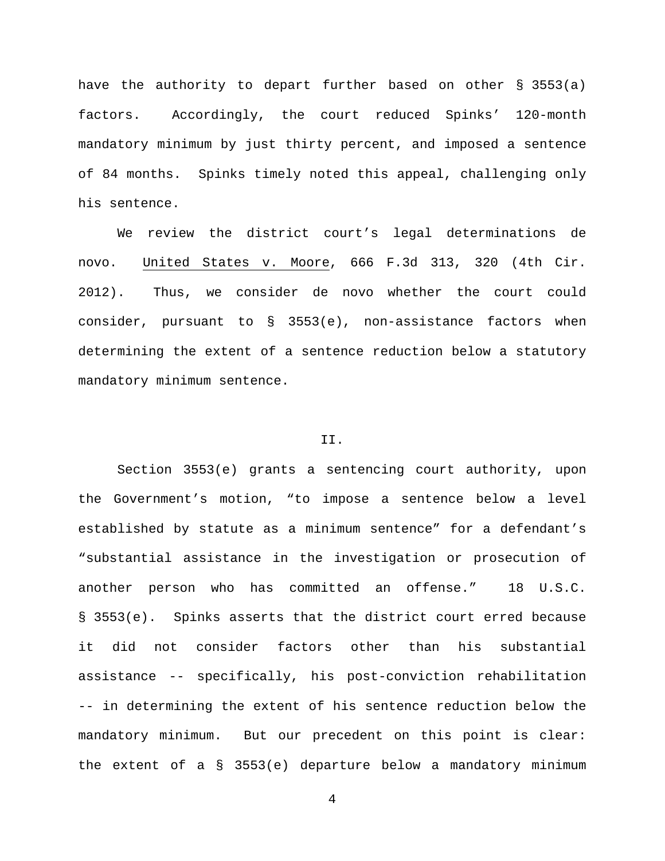have the authority to depart further based on other § 3553(a) factors. Accordingly, the court reduced Spinks' 120-month mandatory minimum by just thirty percent, and imposed a sentence of 84 months. Spinks timely noted this appeal, challenging only his sentence.

We review the district court's legal determinations de novo. United States v. Moore, 666 F.3d 313, 320 (4th Cir. 2012). Thus, we consider de novo whether the court could consider, pursuant to § 3553(e), non-assistance factors when determining the extent of a sentence reduction below a statutory mandatory minimum sentence.

# II.

Section 3553(e) grants a sentencing court authority, upon the Government's motion, "to impose a sentence below a level established by statute as a minimum sentence" for a defendant's "substantial assistance in the investigation or prosecution of another person who has committed an offense." 18 U.S.C. § 3553(e). Spinks asserts that the district court erred because it did not consider factors other than his substantial assistance -- specifically, his post-conviction rehabilitation -- in determining the extent of his sentence reduction below the mandatory minimum. But our precedent on this point is clear: the extent of a § 3553(e) departure below a mandatory minimum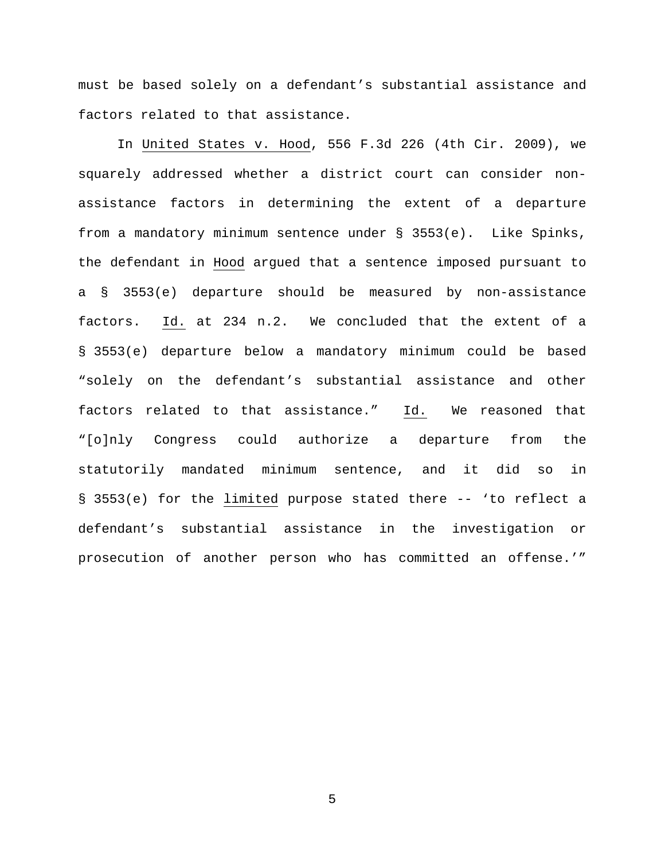must be based solely on a defendant's substantial assistance and factors related to that assistance.

In United States v. Hood, 556 F.3d 226 (4th Cir. 2009), we squarely addressed whether a district court can consider nonassistance factors in determining the extent of a departure from a mandatory minimum sentence under § 3553(e). Like Spinks, the defendant in Hood argued that a sentence imposed pursuant to a § 3553(e) departure should be measured by non-assistance factors. Id. at 234 n.2. We concluded that the extent of a § 3553(e) departure below a mandatory minimum could be based "solely on the defendant's substantial assistance and other factors related to that assistance." Id. We reasoned that "[o]nly Congress could authorize a departure from the statutorily mandated minimum sentence, and it did so in § 3553(e) for the limited purpose stated there -- 'to reflect a defendant's substantial assistance in the investigation or prosecution of another person who has committed an offense.'"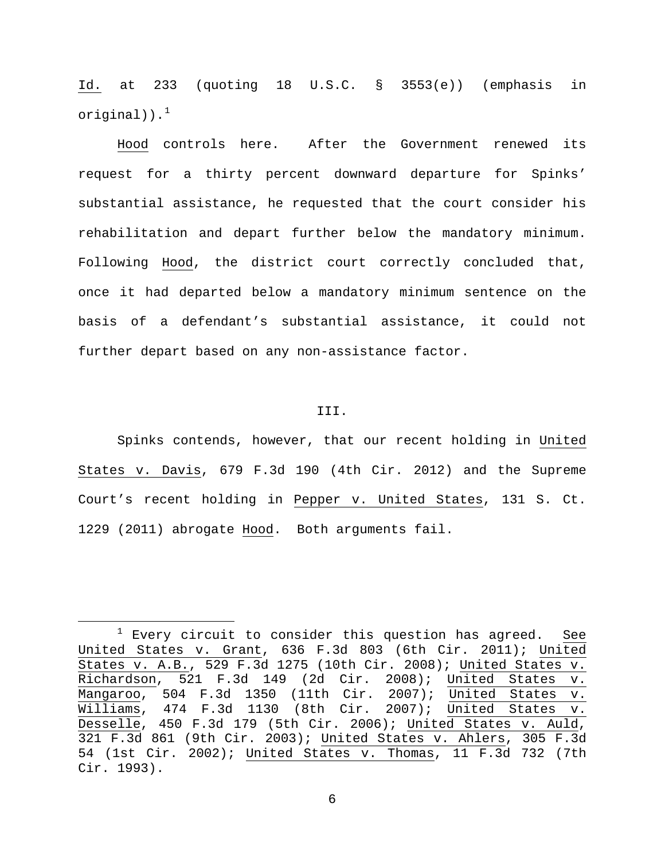Id. at 233 (quoting 18 U.S.C. § 3553(e)) (emphasis in original)). $<sup>1</sup>$  $<sup>1</sup>$  $<sup>1</sup>$ </sup>

Hood controls here. After the Government renewed its request for a thirty percent downward departure for Spinks' substantial assistance, he requested that the court consider his rehabilitation and depart further below the mandatory minimum. Following Hood, the district court correctly concluded that, once it had departed below a mandatory minimum sentence on the basis of a defendant's substantial assistance, it could not further depart based on any non-assistance factor.

# III.

Spinks contends, however, that our recent holding in United States v. Davis, 679 F.3d 190 (4th Cir. 2012) and the Supreme Court's recent holding in Pepper v. United States, 131 S. Ct. 1229 (2011) abrogate Hood. Both arguments fail.

<span id="page-5-0"></span> $1$  Every circuit to consider this question has agreed. See United States v. Grant, 636 F.3d 803 (6th Cir. 2011); United States v. A.B., 529 F.3d 1275 (10th Cir. 2008); United States v. Richardson, 521 F.3d 149 (2d Cir. 2008); United States v. Mangaroo, 504 F.3d 1350 (11th Cir. 2007); United States v. Williams, 474 F.3d 1130 (8th Cir. 2007); United States v. Desselle, 450 F.3d 179 (5th Cir. 2006); United States v. Auld, 321 F.3d 861 (9th Cir. 2003); United States v. Ahlers, 305 F.3d 54 (1st Cir. 2002); United States v. Thomas, 11 F.3d 732 (7th Cir. 1993).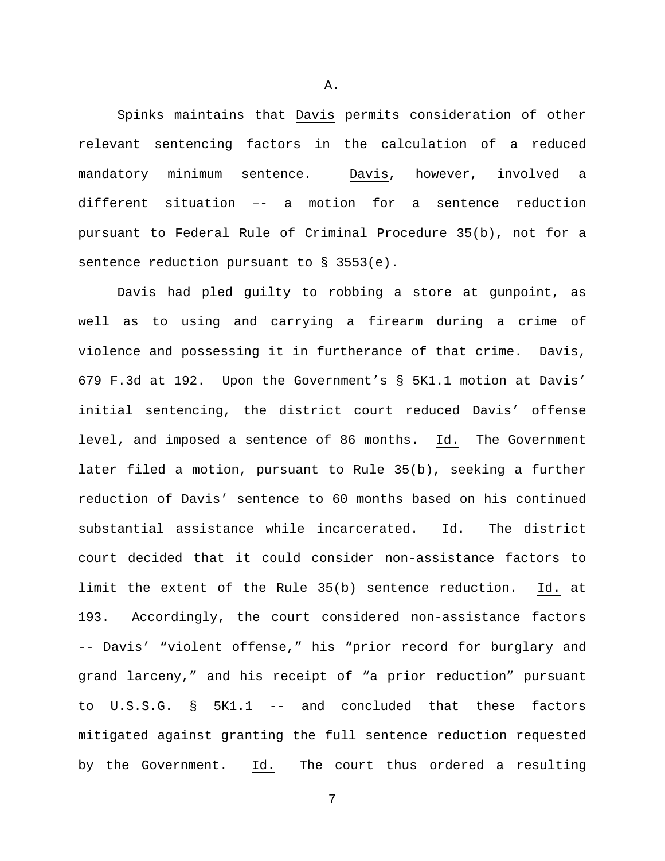Spinks maintains that Davis permits consideration of other relevant sentencing factors in the calculation of a reduced mandatory minimum sentence. Davis, however, involved a different situation –- a motion for a sentence reduction pursuant to Federal Rule of Criminal Procedure 35(b), not for a sentence reduction pursuant to § 3553(e).

Davis had pled guilty to robbing a store at gunpoint, as well as to using and carrying a firearm during a crime of violence and possessing it in furtherance of that crime. Davis, 679 F.3d at 192. Upon the Government's § 5K1.1 motion at Davis' initial sentencing, the district court reduced Davis' offense level, and imposed a sentence of 86 months. Id. The Government later filed a motion, pursuant to Rule 35(b), seeking a further reduction of Davis' sentence to 60 months based on his continued substantial assistance while incarcerated. Id. The district court decided that it could consider non-assistance factors to limit the extent of the Rule 35(b) sentence reduction. Id. at 193. Accordingly, the court considered non-assistance factors -- Davis' "violent offense," his "prior record for burglary and grand larceny," and his receipt of "a prior reduction" pursuant to U.S.S.G. § 5K1.1 -- and concluded that these factors mitigated against granting the full sentence reduction requested by the Government. Id. The court thus ordered a resulting

7

A.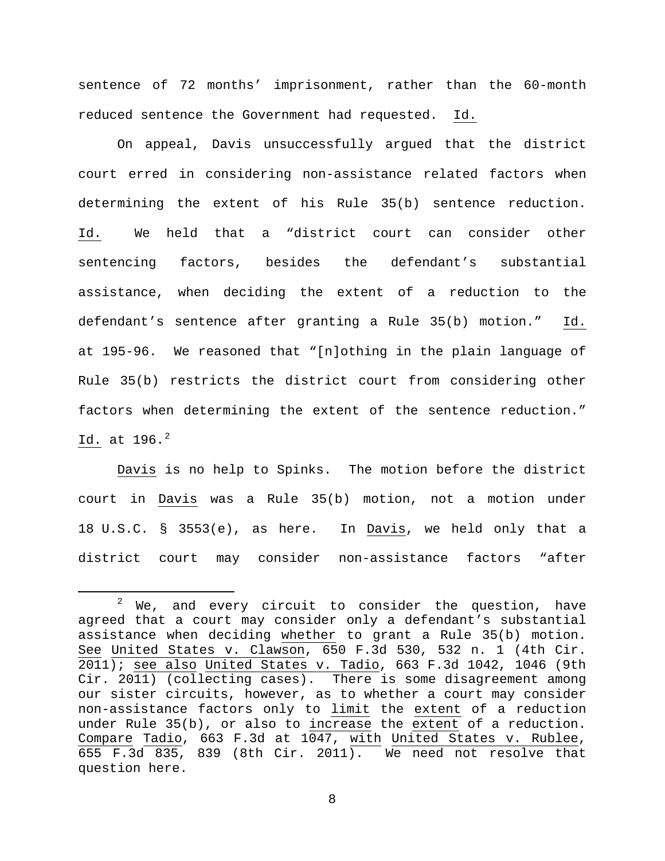sentence of 72 months' imprisonment, rather than the 60-month reduced sentence the Government had requested. Id.

On appeal, Davis unsuccessfully argued that the district court erred in considering non-assistance related factors when determining the extent of his Rule 35(b) sentence reduction. Id. We held that a "district court can consider other sentencing factors, besides the defendant's substantial assistance, when deciding the extent of a reduction to the defendant's sentence after granting a Rule 35(b) motion." Id. at 195-96. We reasoned that "[n]othing in the plain language of Rule 35(b) restricts the district court from considering other factors when determining the extent of the sentence reduction." Id. at 196.<sup>[2](#page-7-0)</sup>

Davis is no help to Spinks. The motion before the district court in Davis was a Rule 35(b) motion, not a motion under 18 U.S.C. § 3553(e), as here. In Davis, we held only that a district court may consider non-assistance factors "after

<span id="page-7-0"></span> $2$  We, and every circuit to consider the question, have agreed that a court may consider only a defendant's substantial assistance when deciding whether to grant a Rule 35(b) motion. See United States v. Clawson, 650 F.3d 530, 532 n. 1 (4th Cir. 2011); see also United States v. Tadio, 663 F.3d 1042, 1046 (9th Cir. 2011) (collecting cases). There is some disagreement among our sister circuits, however, as to whether a court may consider non-assistance factors only to limit the extent of a reduction under Rule 35(b), or also to increase the extent of a reduction. Compare Tadio, 663 F.3d at 1047, with United States v. Rublee, 655 F.3d 835, 839 (8th Cir. 2011). We need not resolve that question here.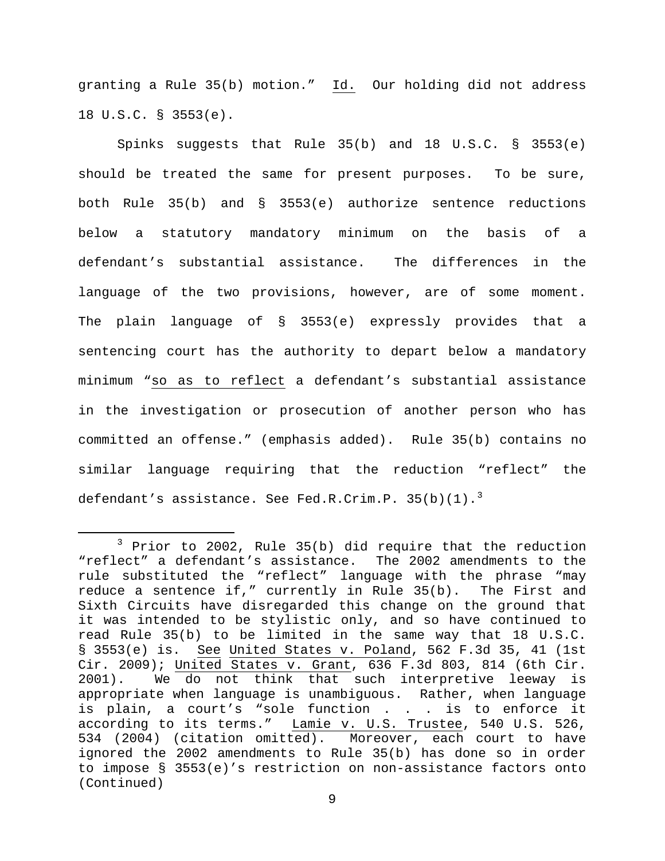granting a Rule 35(b) motion." Id. Our holding did not address 18 U.S.C. § 3553(e).

Spinks suggests that Rule 35(b) and 18 U.S.C. § 3553(e) should be treated the same for present purposes. To be sure, both Rule 35(b) and § 3553(e) authorize sentence reductions below a statutory mandatory minimum on the basis of a defendant's substantial assistance. The differences in the language of the two provisions, however, are of some moment. The plain language of § 3553(e) expressly provides that a sentencing court has the authority to depart below a mandatory minimum "so as to reflect a defendant's substantial assistance in the investigation or prosecution of another person who has committed an offense." (emphasis added). Rule 35(b) contains no similar language requiring that the reduction "reflect" the defendant's assistance. See Fed.R.Crim.P.  $35(b)(1).$  $35(b)(1).$ <sup>3</sup>

<span id="page-8-0"></span> <sup>3</sup> Prior to 2002, Rule 35(b) did require that the reduction "reflect" a defendant's assistance. The 2002 amendments to the rule substituted the "reflect" language with the phrase "may reduce a sentence if," currently in Rule 35(b). The First and Sixth Circuits have disregarded this change on the ground that it was intended to be stylistic only, and so have continued to read Rule 35(b) to be limited in the same way that 18 U.S.C. § 3553(e) is. See United States v. Poland, 562 F.3d 35, 41 (1st Cir. 2009); United States v. Grant, 636 F.3d 803, 814 (6th Cir. 2001). We do not think that such interpretive leeway is appropriate when language is unambiguous. Rather, when language is plain, a court's "sole function . . . is to enforce it according to its terms." Lamie v. U.S. Trustee, 540 U.S. 526, 534 (2004) (citation omitted). Moreover, each court to have ignored the 2002 amendments to Rule 35(b) has done so in order to impose § 3553(e)'s restriction on non-assistance factors onto (Continued)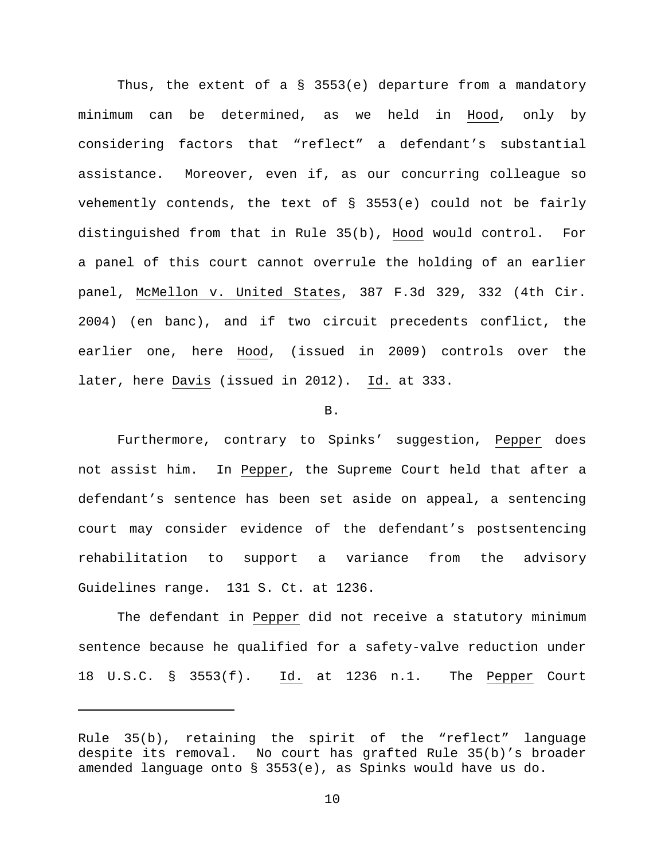Thus, the extent of a § 3553(e) departure from a mandatory minimum can be determined, as we held in Hood, only by considering factors that "reflect" a defendant's substantial assistance. Moreover, even if, as our concurring colleague so vehemently contends, the text of § 3553(e) could not be fairly distinguished from that in Rule 35(b), Hood would control. For a panel of this court cannot overrule the holding of an earlier panel, McMellon v. United States, 387 F.3d 329, 332 (4th Cir. 2004) (en banc), and if two circuit precedents conflict, the earlier one, here Hood, (issued in 2009) controls over the later, here Davis (issued in 2012). Id. at 333.

### B.

Furthermore, contrary to Spinks' suggestion, Pepper does not assist him. In Pepper, the Supreme Court held that after a defendant's sentence has been set aside on appeal, a sentencing court may consider evidence of the defendant's postsentencing rehabilitation to support a variance from the advisory Guidelines range. 131 S. Ct. at 1236.

The defendant in Pepper did not receive a statutory minimum sentence because he qualified for a safety-valve reduction under 18 U.S.C. § 3553(f). Id. at 1236 n.1. The Pepper Court

ī

Rule 35(b), retaining the spirit of the "reflect" language despite its removal. No court has grafted Rule 35(b)'s broader amended language onto § 3553(e), as Spinks would have us do.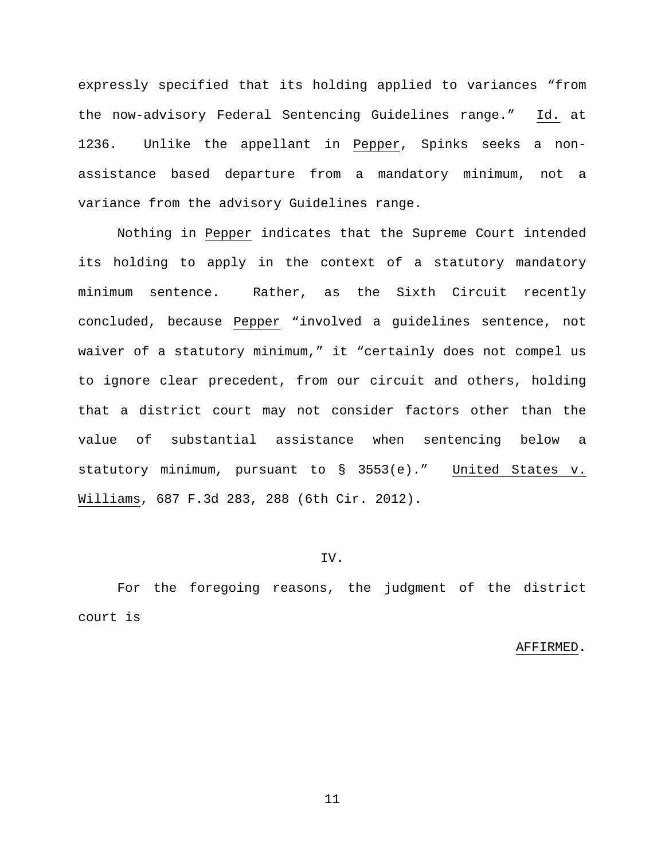expressly specified that its holding applied to variances "from the now-advisory Federal Sentencing Guidelines range." Id. at 1236. Unlike the appellant in Pepper, Spinks seeks a nonassistance based departure from a mandatory minimum, not a variance from the advisory Guidelines range.

Nothing in Pepper indicates that the Supreme Court intended its holding to apply in the context of a statutory mandatory minimum sentence. Rather, as the Sixth Circuit recently concluded, because Pepper "involved a guidelines sentence, not waiver of a statutory minimum," it "certainly does not compel us to ignore clear precedent, from our circuit and others, holding that a district court may not consider factors other than the value of substantial assistance when sentencing below a statutory minimum, pursuant to § 3553(e)." United States v. Williams, 687 F.3d 283, 288 (6th Cir. 2012).

## IV.

For the foregoing reasons, the judgment of the district court is

#### AFFIRMED.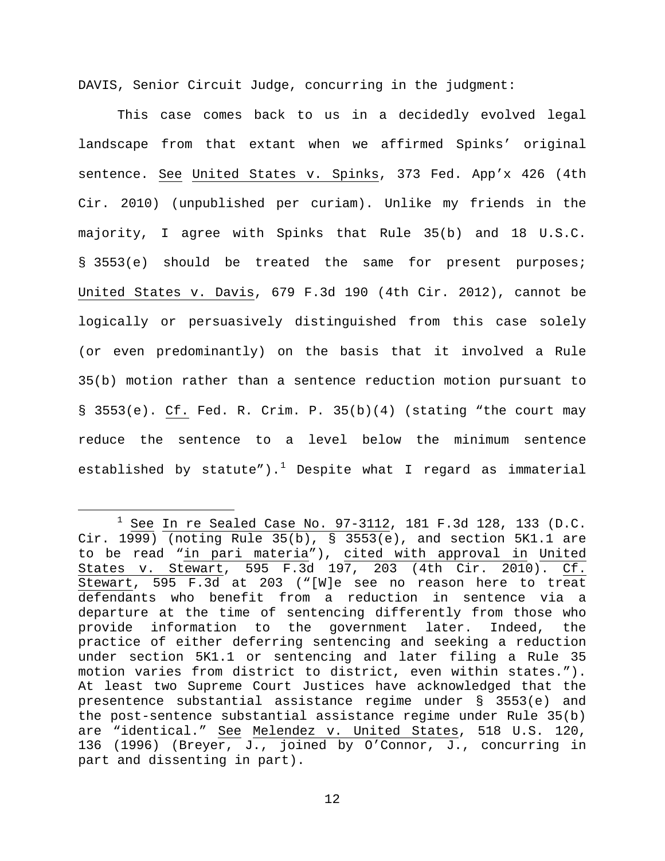DAVIS, Senior Circuit Judge, concurring in the judgment:

This case comes back to us in a decidedly evolved legal landscape from that extant when we affirmed Spinks' original sentence. See United States v. Spinks, 373 Fed. App'x 426 (4th Cir. 2010) (unpublished per curiam). Unlike my friends in the majority, I agree with Spinks that Rule 35(b) and 18 U.S.C. § 3553(e) should be treated the same for present purposes; United States v. Davis, 679 F.3d 190 (4th Cir. 2012), cannot be logically or persuasively distinguished from this case solely (or even predominantly) on the basis that it involved a Rule 35(b) motion rather than a sentence reduction motion pursuant to § 3553(e). Cf. Fed. R. Crim. P. 35(b)(4) (stating "the court may reduce the sentence to a level below the minimum sentence established by statute").<sup>[1](#page-11-0)</sup> Despite what I regard as immaterial

<span id="page-11-0"></span> $1$  See In re Sealed Case No. 97-3112, 181 F.3d 128, 133 (D.C. Cir.  $1999)$  (noting Rule 35(b), § 3553(e), and section 5K1.1 are to be read "in pari materia"), cited with approval in United States v. Stewart, 595 F.3d 197, 203 (4th Cir. 2010). Cf. Stewart, 595 F.3d at 203 ("[W]e see no reason here to treat defendants who benefit from a reduction in sentence via a departure at the time of sentencing differently from those who provide information to the government later. Indeed, the practice of either deferring sentencing and seeking a reduction under section 5K1.1 or sentencing and later filing a Rule 35 motion varies from district to district, even within states."). At least two Supreme Court Justices have acknowledged that the presentence substantial assistance regime under § 3553(e) and the post-sentence substantial assistance regime under Rule 35(b) are "identical." See Melendez v. United States, 518 U.S. 120, 136 (1996) (Breyer, J., joined by O'Connor, J., concurring in part and dissenting in part).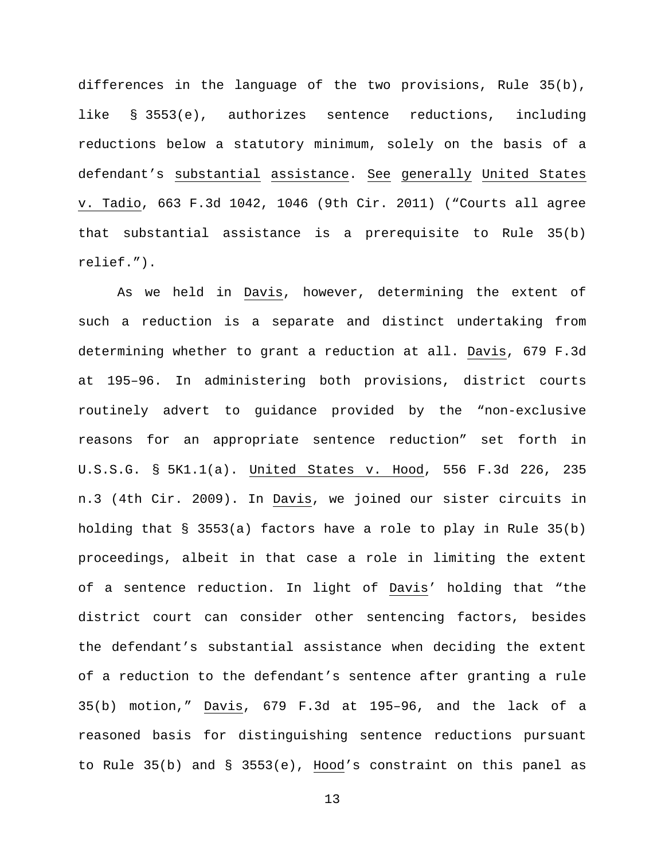differences in the language of the two provisions, Rule 35(b), like § 3553(e), authorizes sentence reductions, including reductions below a statutory minimum, solely on the basis of a defendant's substantial assistance. See generally United States v. Tadio, 663 F.3d 1042, 1046 (9th Cir. 2011) ("Courts all agree that substantial assistance is a prerequisite to Rule 35(b) relief.").

As we held in Davis, however, determining the extent of such a reduction is a separate and distinct undertaking from determining whether to grant a reduction at all. Davis, 679 F.3d at 195–96. In administering both provisions, district courts routinely advert to guidance provided by the "non-exclusive reasons for an appropriate sentence reduction" set forth in U.S.S.G. § 5K1.1(a). United States v. Hood, 556 F.3d 226, 235 n.3 (4th Cir. 2009). In Davis, we joined our sister circuits in holding that § 3553(a) factors have a role to play in Rule 35(b) proceedings, albeit in that case a role in limiting the extent of a sentence reduction. In light of Davis' holding that "the district court can consider other sentencing factors, besides the defendant's substantial assistance when deciding the extent of a reduction to the defendant's sentence after granting a rule 35(b) motion," Davis, 679 F.3d at 195–96, and the lack of a reasoned basis for distinguishing sentence reductions pursuant to Rule 35(b) and § 3553(e), Hood's constraint on this panel as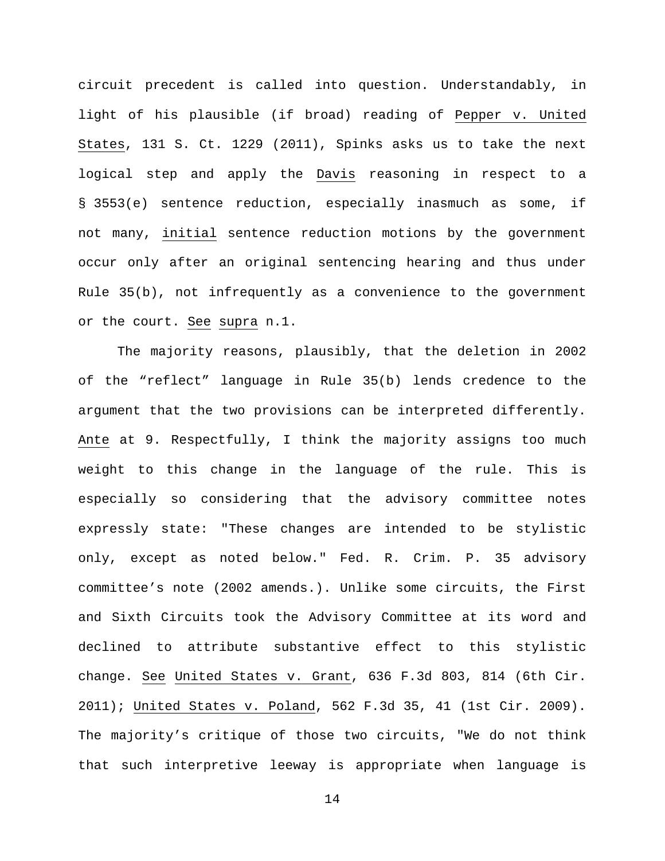circuit precedent is called into question. Understandably, in light of his plausible (if broad) reading of Pepper v. United States, 131 S. Ct. 1229 (2011), Spinks asks us to take the next logical step and apply the Davis reasoning in respect to a § 3553(e) sentence reduction, especially inasmuch as some, if not many, initial sentence reduction motions by the government occur only after an original sentencing hearing and thus under Rule 35(b), not infrequently as a convenience to the government or the court. See supra n.1.

The majority reasons, plausibly, that the deletion in 2002 of the "reflect" language in Rule 35(b) lends credence to the argument that the two provisions can be interpreted differently. Ante at 9. Respectfully, I think the majority assigns too much weight to this change in the language of the rule. This is especially so considering that the advisory committee notes expressly state: "These changes are intended to be stylistic only, except as noted below." Fed. R. Crim. P. 35 advisory committee's note (2002 amends.). Unlike some circuits, the First and Sixth Circuits took the Advisory Committee at its word and declined to attribute substantive effect to this stylistic change. See United States v. Grant, 636 F.3d 803, 814 (6th Cir. 2011); United States v. Poland, 562 F.3d 35, 41 (1st Cir. 2009). The majority's critique of those two circuits, "We do not think that such interpretive leeway is appropriate when language is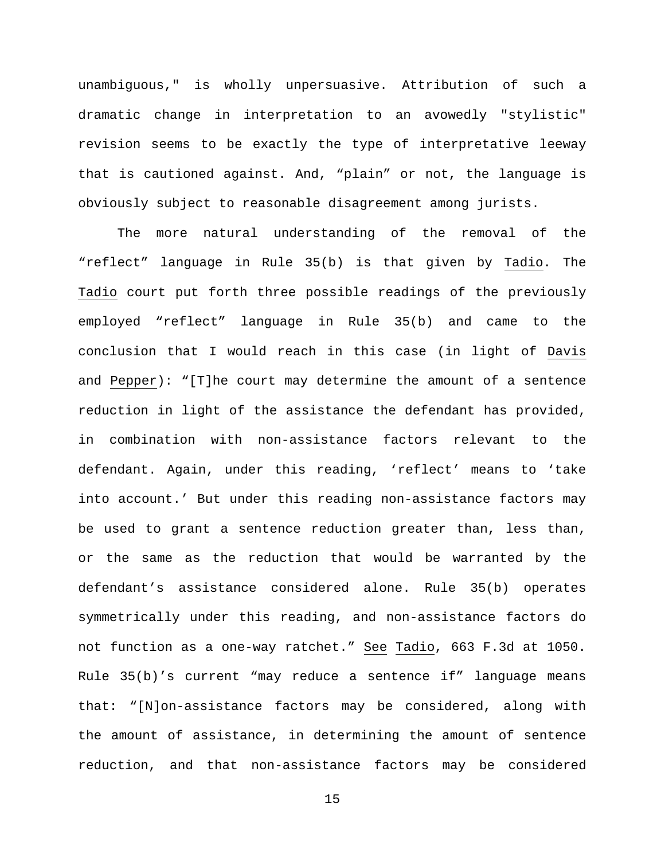unambiguous," is wholly unpersuasive. Attribution of such a dramatic change in interpretation to an avowedly "stylistic" revision seems to be exactly the type of interpretative leeway that is cautioned against. And, "plain" or not, the language is obviously subject to reasonable disagreement among jurists.

The more natural understanding of the removal of the "reflect" language in Rule 35(b) is that given by Tadio. The Tadio court put forth three possible readings of the previously employed "reflect" language in Rule 35(b) and came to the conclusion that I would reach in this case (in light of Davis and Pepper): "[T]he court may determine the amount of a sentence reduction in light of the assistance the defendant has provided, in combination with non-assistance factors relevant to the defendant. Again, under this reading, 'reflect' means to 'take into account.' But under this reading non-assistance factors may be used to grant a sentence reduction greater than, less than, or the same as the reduction that would be warranted by the defendant's assistance considered alone. Rule 35(b) operates symmetrically under this reading, and non-assistance factors do not function as a one-way ratchet." See Tadio, 663 F.3d at 1050. Rule 35(b)'s current "may reduce a sentence if" language means that: "[N]on-assistance factors may be considered, along with the amount of assistance, in determining the amount of sentence reduction, and that non-assistance factors may be considered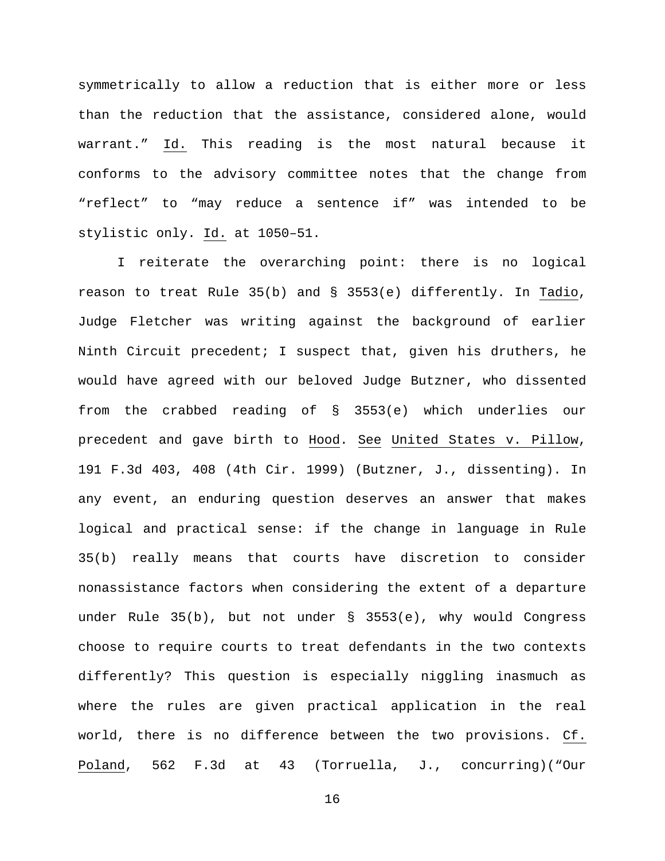symmetrically to allow a reduction that is either more or less than the reduction that the assistance, considered alone, would warrant." Id. This reading is the most natural because it conforms to the advisory committee notes that the change from "reflect" to "may reduce a sentence if" was intended to be stylistic only. Id. at 1050–51.

I reiterate the overarching point: there is no logical reason to treat Rule 35(b) and § 3553(e) differently. In Tadio, Judge Fletcher was writing against the background of earlier Ninth Circuit precedent; I suspect that, given his druthers, he would have agreed with our beloved Judge Butzner, who dissented from the crabbed reading of § 3553(e) which underlies our precedent and gave birth to Hood. See United States v. Pillow, 191 F.3d 403, 408 (4th Cir. 1999) (Butzner, J., dissenting). In any event, an enduring question deserves an answer that makes logical and practical sense: if the change in language in Rule 35(b) really means that courts have discretion to consider nonassistance factors when considering the extent of a departure under Rule 35(b), but not under § 3553(e), why would Congress choose to require courts to treat defendants in the two contexts differently? This question is especially niggling inasmuch as where the rules are given practical application in the real world, there is no difference between the two provisions. Cf. Poland, 562 F.3d at 43 (Torruella, J., concurring)("Our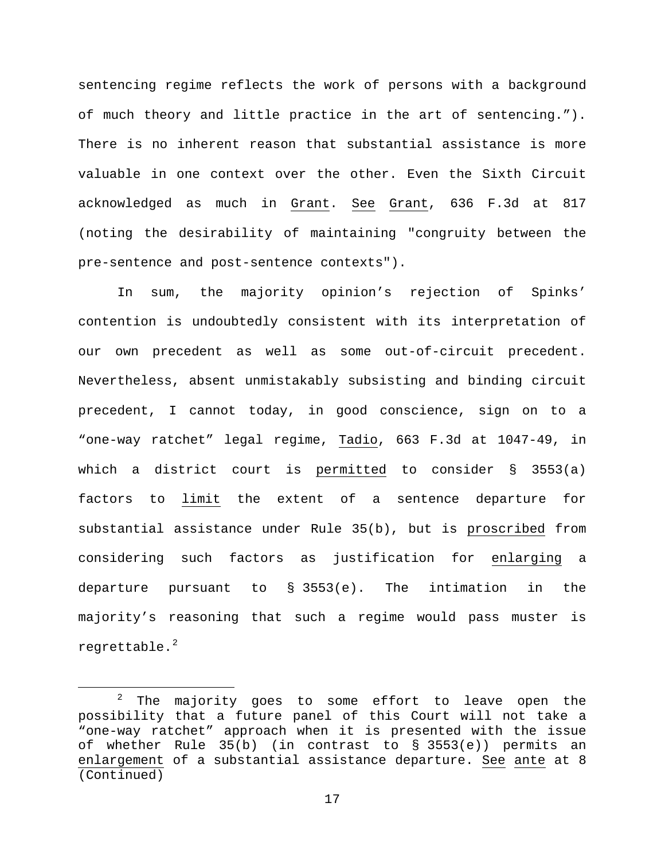sentencing regime reflects the work of persons with a background of much theory and little practice in the art of sentencing."). There is no inherent reason that substantial assistance is more valuable in one context over the other. Even the Sixth Circuit acknowledged as much in Grant. See Grant, 636 F.3d at 817 (noting the desirability of maintaining "congruity between the pre-sentence and post-sentence contexts").

In sum, the majority opinion's rejection of Spinks' contention is undoubtedly consistent with its interpretation of our own precedent as well as some out-of-circuit precedent. Nevertheless, absent unmistakably subsisting and binding circuit precedent, I cannot today, in good conscience, sign on to a "one-way ratchet" legal regime, Tadio, 663 F.3d at 1047-49, in which a district court is permitted to consider § 3553(a) factors to limit the extent of a sentence departure for substantial assistance under Rule 35(b), but is proscribed from considering such factors as justification for enlarging a departure pursuant to § 3553(e). The intimation in the majority's reasoning that such a regime would pass muster is regrettable. $^{2}$  $^{2}$  $^{2}$ 

<span id="page-16-0"></span> $2$  The majority goes to some effort to leave open the possibility that a future panel of this Court will not take a "one-way ratchet" approach when it is presented with the issue of whether Rule 35(b) (in contrast to § 3553(e)) permits an enlargement of a substantial assistance departure. See ante at 8 (Continued)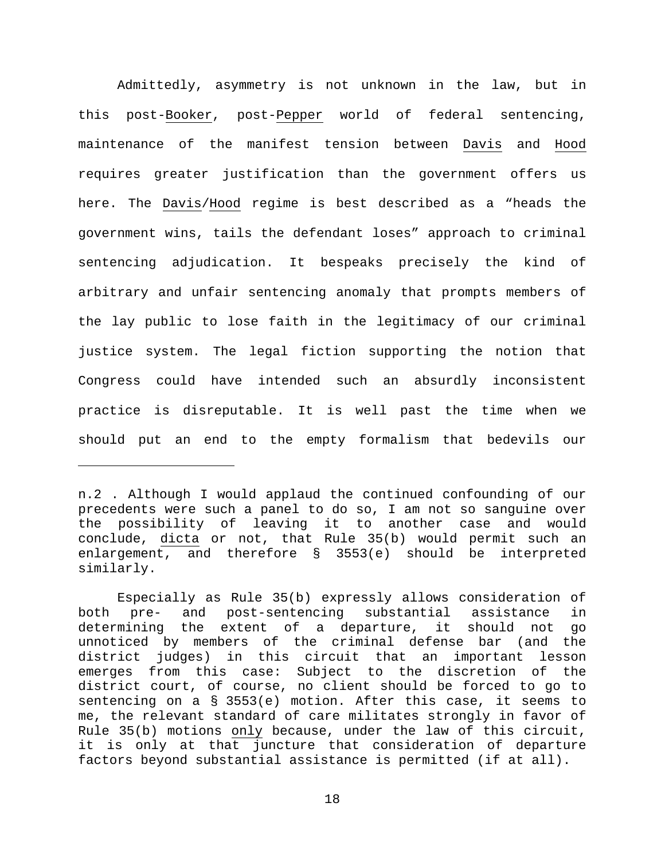Admittedly, asymmetry is not unknown in the law, but in this post-Booker, post-Pepper world of federal sentencing, maintenance of the manifest tension between Davis and Hood requires greater justification than the government offers us here. The Davis/Hood regime is best described as a "heads the government wins, tails the defendant loses" approach to criminal sentencing adjudication. It bespeaks precisely the kind of arbitrary and unfair sentencing anomaly that prompts members of the lay public to lose faith in the legitimacy of our criminal justice system. The legal fiction supporting the notion that Congress could have intended such an absurdly inconsistent practice is disreputable. It is well past the time when we should put an end to the empty formalism that bedevils our

n.2 . Although I would applaud the continued confounding of our precedents were such a panel to do so, I am not so sanguine over the possibility of leaving it to another case and would conclude, dicta or not, that Rule 35(b) would permit such an enlargement, and therefore § 3553(e) should be interpreted similarly.

ī

Especially as Rule 35(b) expressly allows consideration of both pre- and post-sentencing substantial assistance in determining the extent of a departure, it should not go unnoticed by members of the criminal defense bar (and the district judges) in this circuit that an important lesson emerges from this case: Subject to the discretion of the district court, of course, no client should be forced to go to sentencing on a § 3553(e) motion. After this case, it seems to me, the relevant standard of care militates strongly in favor of Rule 35(b) motions only because, under the law of this circuit, it is only at that juncture that consideration of departure factors beyond substantial assistance is permitted (if at all).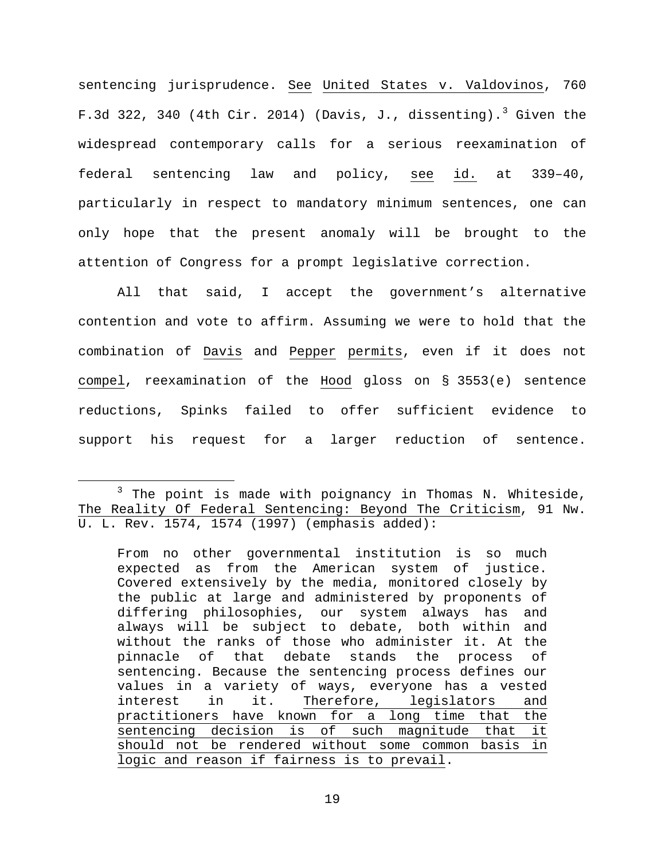sentencing jurisprudence. See United States v. Valdovinos, 760 F.[3](#page-18-0)d 322, 340 (4th Cir. 2014) (Davis, J., dissenting).<sup>3</sup> Given the widespread contemporary calls for a serious reexamination of federal sentencing law and policy, see id. at 339–40, particularly in respect to mandatory minimum sentences, one can only hope that the present anomaly will be brought to the attention of Congress for a prompt legislative correction.

All that said, I accept the government's alternative contention and vote to affirm. Assuming we were to hold that the combination of Davis and Pepper permits, even if it does not compel, reexamination of the Hood gloss on § 3553(e) sentence reductions, Spinks failed to offer sufficient evidence to support his request for a larger reduction of sentence.

<span id="page-18-0"></span> $3$  The point is made with poignancy in Thomas N. Whiteside, The Reality Of Federal Sentencing: Beyond The Criticism, 91 Nw. U. L. Rev. 1574, 1574 (1997) (emphasis added):

From no other governmental institution is so much expected as from the American system of justice. Covered extensively by the media, monitored closely by the public at large and administered by proponents of differing philosophies, our system always has and always will be subject to debate, both within and without the ranks of those who administer it. At the pinnacle of that debate stands the process of sentencing. Because the sentencing process defines our values in a variety of ways, everyone has a vested<br>interest in it. Therefore, legislators and Therefore, legislators and practitioners have known for a long time that the<br>sentencing decision is of such magnitude that it sentencing decision is of such magnitude that should not be rendered without some common basis in logic and reason if fairness is to prevail.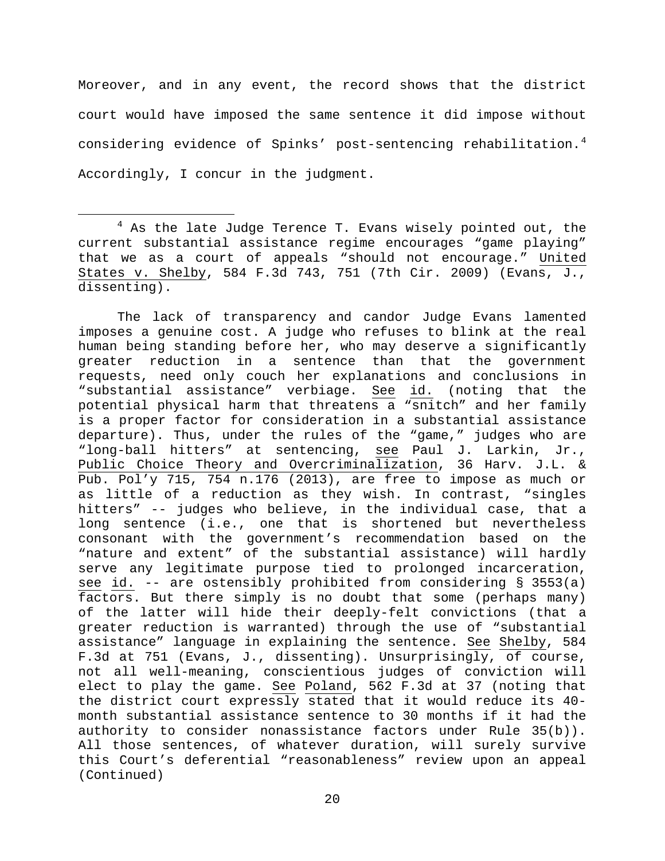Moreover, and in any event, the record shows that the district court would have imposed the same sentence it did impose without considering evidence of Spinks' post-sentencing rehabilitation.<sup>[4](#page-19-0)</sup> Accordingly, I concur in the judgment.

The lack of transparency and candor Judge Evans lamented imposes a genuine cost. A judge who refuses to blink at the real human being standing before her, who may deserve a significantly greater reduction in a sentence than that the government requests, need only couch her explanations and conclusions in<br>"substantial assistance" verbiage. See id. (noting that the "substantial assistance" verbiage. See potential physical harm that threatens a "snitch" and her family is a proper factor for consideration in a substantial assistance departure). Thus, under the rules of the "game," judges who are "long-ball hitters" at sentencing, see Paul J. Larkin, Jr., Public Choice Theory and Overcriminalization, 36 Harv. J.L. & Pub. Pol'y 715, 754 n.176 (2013), are free to impose as much or as little of a reduction as they wish. In contrast, "singles hitters" -- judges who believe, in the individual case, that a long sentence (i.e., one that is shortened but nevertheless consonant with the government's recommendation based on the "nature and extent" of the substantial assistance) will hardly serve any legitimate purpose tied to prolonged incarceration, see id. -- are ostensibly prohibited from considering § 3553(a) factors. But there simply is no doubt that some (perhaps many) of the latter will hide their deeply-felt convictions (that a greater reduction is warranted) through the use of "substantial assistance" language in explaining the sentence. See Shelby, 584 F.3d at 751 (Evans, J., dissenting). Unsurprisingly, of course, not all well-meaning, conscientious judges of conviction will elect to play the game. See Poland, 562 F.3d at 37 (noting that the district court expressly stated that it would reduce its 40 month substantial assistance sentence to 30 months if it had the authority to consider nonassistance factors under Rule 35(b)). All those sentences, of whatever duration, will surely survive this Court's deferential "reasonableness" review upon an appeal (Continued)

<span id="page-19-0"></span> $4$  As the late Judge Terence T. Evans wisely pointed out, the current substantial assistance regime encourages "game playing" that we as a court of appeals "should not encourage." United States v. Shelby, 584 F.3d 743, 751 (7th Cir. 2009) (Evans, J., dissenting).